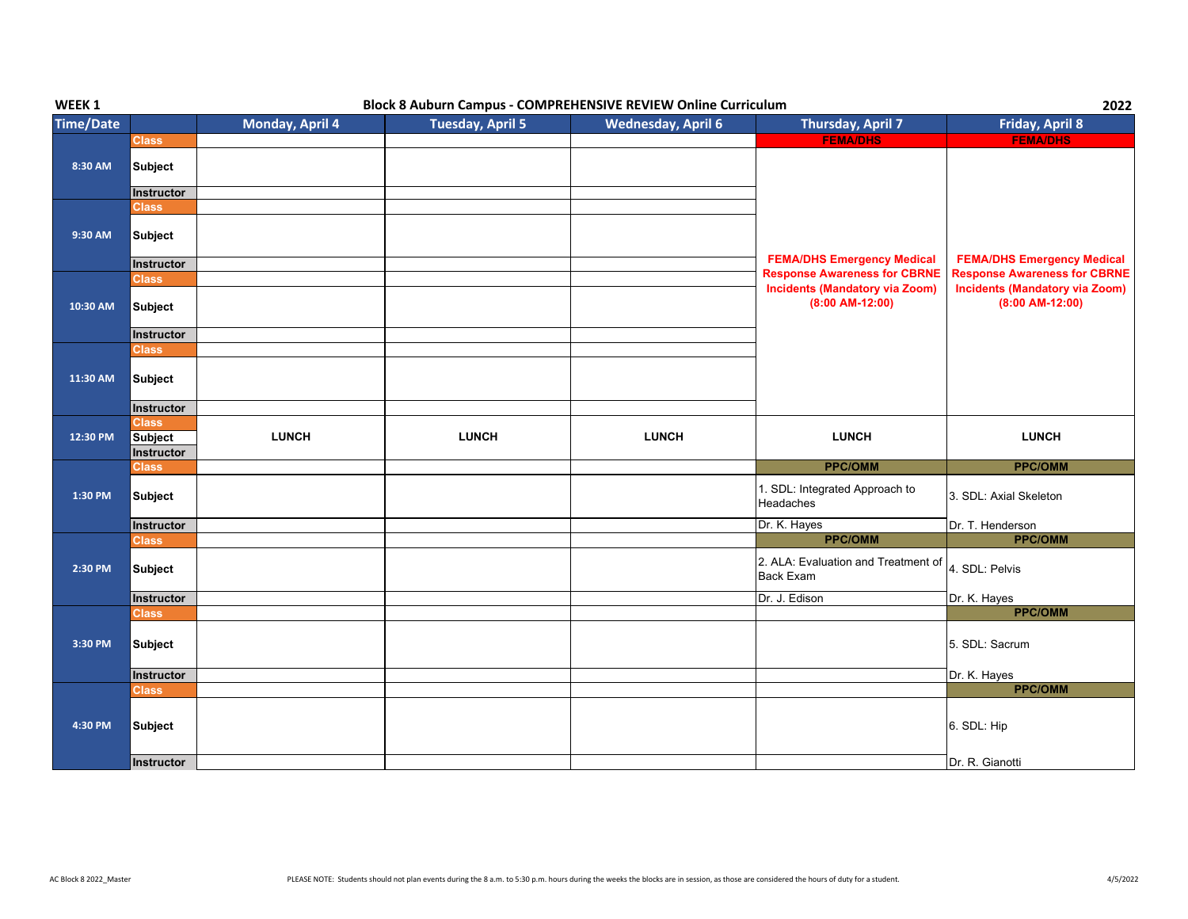| WEEK 1           | <b>Block 8 Auburn Campus - COMPREHENSIVE REVIEW Online Curriculum</b> |                 |                         |                           |                                                            | 2022                                                       |  |
|------------------|-----------------------------------------------------------------------|-----------------|-------------------------|---------------------------|------------------------------------------------------------|------------------------------------------------------------|--|
| <b>Time/Date</b> |                                                                       | Monday, April 4 | <b>Tuesday, April 5</b> | <b>Wednesday, April 6</b> | Thursday, April 7                                          | Friday, April 8                                            |  |
|                  | <b>Class</b>                                                          |                 |                         |                           | <b>FEMA/DHS</b>                                            | <b>FEMA/DHS</b>                                            |  |
| 8:30 AM          | <b>Subject</b>                                                        |                 |                         |                           |                                                            |                                                            |  |
|                  | Instructor<br><b>Class</b>                                            |                 |                         |                           |                                                            |                                                            |  |
| 9:30 AM          | <b>Subject</b>                                                        |                 |                         |                           | <b>FEMA/DHS Emergency Medical</b>                          | <b>FEMA/DHS Emergency Medical</b>                          |  |
|                  | Instructor                                                            |                 |                         |                           | <b>Response Awareness for CBRNE</b>                        | <b>Response Awareness for CBRNE</b>                        |  |
| 10:30 AM         | <b>Class</b><br>Subject                                               |                 |                         |                           | <b>Incidents (Mandatory via Zoom)</b><br>$(8:00$ AM-12:00) | <b>Incidents (Mandatory via Zoom)</b><br>$(8:00$ AM-12:00) |  |
|                  | Instructor                                                            |                 |                         |                           |                                                            |                                                            |  |
| 11:30 AM         | <b>Class</b><br>Subject<br>Instructor                                 |                 |                         |                           |                                                            |                                                            |  |
| 12:30 PM         | <b>Class</b><br><b>Subject</b><br>Instructor                          | <b>LUNCH</b>    | <b>LUNCH</b>            | <b>LUNCH</b>              | <b>LUNCH</b>                                               | <b>LUNCH</b>                                               |  |
|                  | <b>Class</b>                                                          |                 |                         |                           | <b>PPC/OMM</b>                                             | <b>PPC/OMM</b>                                             |  |
| 1:30 PM          | <b>Subject</b>                                                        |                 |                         |                           | 1. SDL: Integrated Approach to<br>Headaches                | 3. SDL: Axial Skeleton                                     |  |
|                  | Instructor                                                            |                 |                         |                           | Dr. K. Hayes                                               | Dr. T. Henderson                                           |  |
|                  | <b>Class</b>                                                          |                 |                         |                           | <b>PPC/OMM</b>                                             | <b>PPC/OMM</b>                                             |  |
| 2:30 PM          | <b>Subject</b>                                                        |                 |                         |                           | 2. ALA: Evaluation and Treatment of<br><b>Back Exam</b>    | 4. SDL: Pelvis                                             |  |
|                  | Instructor                                                            |                 |                         |                           | Dr. J. Edison                                              | Dr. K. Hayes                                               |  |
|                  | <b>Class</b>                                                          |                 |                         |                           |                                                            | <b>PPC/OMM</b>                                             |  |
| 3:30 PM          | Subject                                                               |                 |                         |                           |                                                            | 5. SDL: Sacrum                                             |  |
|                  | Instructor                                                            |                 |                         |                           |                                                            | Dr. K. Hayes                                               |  |
|                  | <b>Class</b>                                                          |                 |                         |                           |                                                            | <b>PPC/OMM</b>                                             |  |
| 4:30 PM          | Subject                                                               |                 |                         |                           |                                                            | 6. SDL: Hip                                                |  |
|                  | Instructor                                                            |                 |                         |                           |                                                            | Dr. R. Gianotti                                            |  |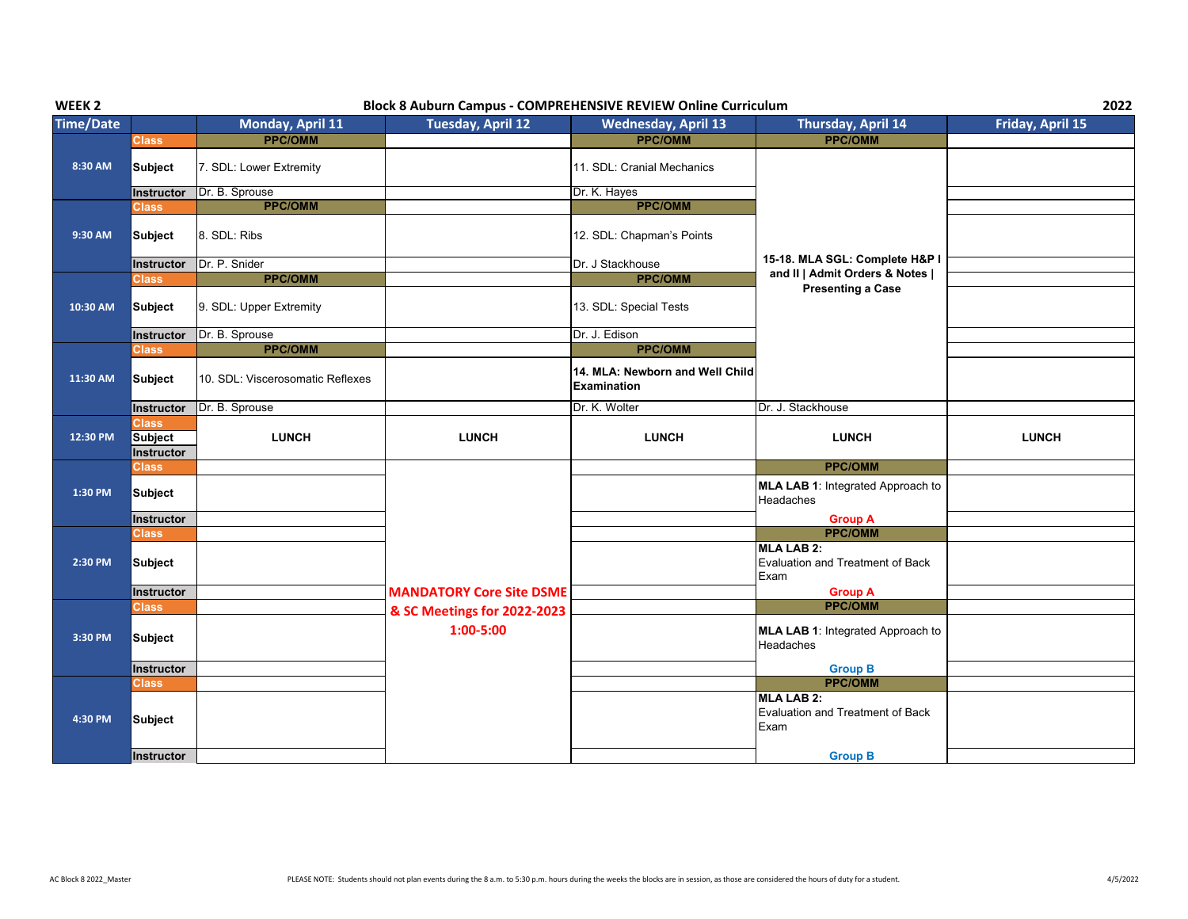| WEEK <sub>2</sub> | <b>Block 8 Auburn Campus - COMPREHENSIVE REVIEW Online Curriculum</b> |                                  |                                 |                                                       |                                                                      |                  |  |
|-------------------|-----------------------------------------------------------------------|----------------------------------|---------------------------------|-------------------------------------------------------|----------------------------------------------------------------------|------------------|--|
| <b>Time/Date</b>  |                                                                       | Monday, April 11                 | Tuesday, April 12               | <b>Wednesday, April 13</b>                            | Thursday, April 14                                                   | Friday, April 15 |  |
|                   | <b>Class</b>                                                          | <b>PPC/OMM</b>                   |                                 | <b>PPC/OMM</b>                                        | <b>PPC/OMM</b>                                                       |                  |  |
| 8:30 AM           | <b>Subject</b>                                                        | 7. SDL: Lower Extremity          |                                 | 11. SDL: Cranial Mechanics                            |                                                                      |                  |  |
|                   | Instructor                                                            | Dr. B. Sprouse                   |                                 | Dr. K. Hayes                                          |                                                                      |                  |  |
|                   | <b>Class</b>                                                          | <b>PPC/OMM</b>                   |                                 | <b>PPC/OMM</b>                                        |                                                                      |                  |  |
| 9:30 AM           | <b>Subject</b>                                                        | 8. SDL: Ribs                     |                                 | 12. SDL: Chapman's Points                             |                                                                      |                  |  |
|                   | Instructor                                                            | Dr. P. Snider                    |                                 | Dr. J Stackhouse                                      | 15-18. MLA SGL: Complete H&P I                                       |                  |  |
|                   | <b>Class</b>                                                          | <b>PPC/OMM</b><br><b>PPC/OMM</b> | and II   Admit Orders & Notes   |                                                       |                                                                      |                  |  |
| 10:30 AM          | <b>Subject</b>                                                        | 9. SDL: Upper Extremity          |                                 | 13. SDL: Special Tests                                | <b>Presenting a Case</b>                                             |                  |  |
|                   | Instructor                                                            | Dr. B. Sprouse                   |                                 | Dr. J. Edison                                         |                                                                      |                  |  |
|                   | <b>Class</b>                                                          | <b>PPC/OMM</b>                   |                                 | <b>PPC/OMM</b>                                        |                                                                      |                  |  |
| 11:30 AM          | <b>Subject</b>                                                        | 10. SDL: Viscerosomatic Reflexes |                                 | 14. MLA: Newborn and Well Child<br><b>Examination</b> |                                                                      |                  |  |
|                   | Instructor                                                            | Dr. B. Sprouse                   |                                 | Dr. K. Wolter                                         | Dr. J. Stackhouse                                                    |                  |  |
| 12:30 PM          | <b>Class</b><br><b>Subject</b><br>Instructor                          | <b>LUNCH</b>                     | <b>LUNCH</b>                    | <b>LUNCH</b>                                          | <b>LUNCH</b>                                                         | <b>LUNCH</b>     |  |
|                   | <b>Class</b>                                                          |                                  |                                 |                                                       | <b>PPC/OMM</b>                                                       |                  |  |
| 1:30 PM           | <b>Subject</b>                                                        |                                  |                                 |                                                       | MLA LAB 1: Integrated Approach to<br>Headaches                       |                  |  |
|                   | Instructor                                                            |                                  |                                 |                                                       | <b>Group A</b>                                                       |                  |  |
|                   | Class                                                                 |                                  |                                 |                                                       | <b>PPC/OMM</b>                                                       |                  |  |
| 2:30 PM           | <b>Subject</b>                                                        |                                  |                                 |                                                       | <b>MLA LAB 2:</b><br><b>Evaluation and Treatment of Back</b><br>Exam |                  |  |
|                   | Instructor                                                            |                                  | <b>MANDATORY Core Site DSME</b> |                                                       | <b>Group A</b>                                                       |                  |  |
|                   | <b>Class</b>                                                          |                                  | & SC Meetings for 2022-2023     |                                                       | <b>PPC/OMM</b>                                                       |                  |  |
| 3:30 PM           | <b>Subject</b>                                                        |                                  | 1:00-5:00                       |                                                       | <b>MLA LAB 1: Integrated Approach to</b><br>Headaches                |                  |  |
|                   | Instructor                                                            |                                  |                                 |                                                       | <b>Group B</b>                                                       |                  |  |
|                   | Class                                                                 |                                  |                                 |                                                       | <b>PPC/OMM</b>                                                       |                  |  |
| 4:30 PM           | <b>Subject</b>                                                        |                                  |                                 |                                                       | <b>MLA LAB 2:</b><br>Evaluation and Treatment of Back<br>Exam        |                  |  |
|                   | <b>Instructor</b>                                                     |                                  |                                 |                                                       | <b>Group B</b>                                                       |                  |  |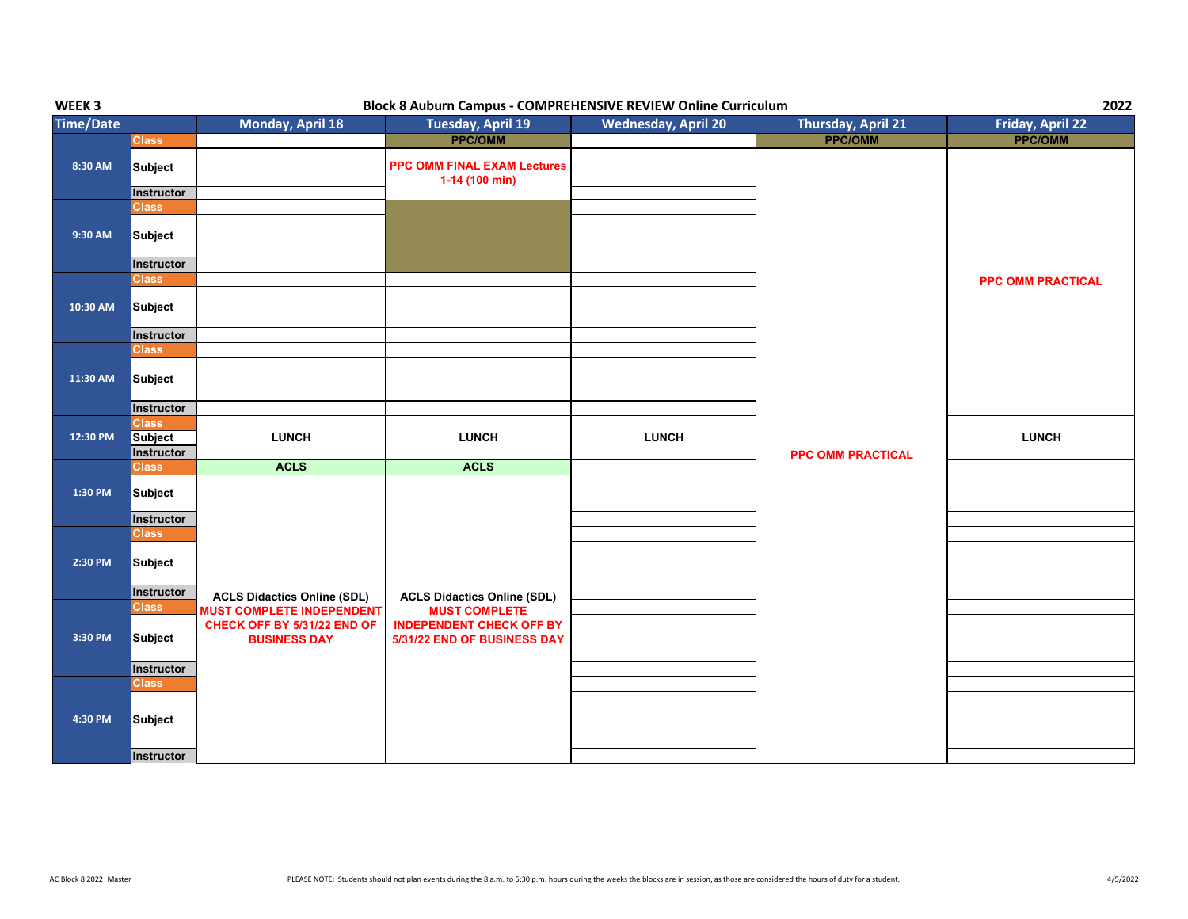| WEEK <sub>3</sub> | <b>Block 8 Auburn Campus - COMPREHENSIVE REVIEW Online Curriculum</b> |                                                                                        |                                                                                        |                            |                          |                          |
|-------------------|-----------------------------------------------------------------------|----------------------------------------------------------------------------------------|----------------------------------------------------------------------------------------|----------------------------|--------------------------|--------------------------|
| <b>Time/Date</b>  |                                                                       | Monday, April 18                                                                       | <b>Tuesday, April 19</b>                                                               | <b>Wednesday, April 20</b> | Thursday, April 21       | Friday, April 22         |
|                   | <b>Class</b>                                                          |                                                                                        | <b>PPC/OMM</b>                                                                         |                            | <b>PPC/OMM</b>           | <b>PPC/OMM</b>           |
| 8:30 AM           | <b>Subject</b><br>Instructor                                          |                                                                                        | <b>PPC OMM FINAL EXAM Lectures</b><br>$1-14(100 min)$                                  |                            |                          |                          |
|                   | <b>Class</b>                                                          |                                                                                        |                                                                                        |                            |                          |                          |
| 9:30 AM           | <b>Subject</b>                                                        |                                                                                        |                                                                                        |                            |                          |                          |
|                   | Instructor                                                            |                                                                                        |                                                                                        |                            |                          |                          |
| 10:30 AM          | <b>Class</b><br><b>Subject</b>                                        |                                                                                        |                                                                                        |                            |                          | <b>PPC OMM PRACTICAL</b> |
|                   | Instructor                                                            |                                                                                        |                                                                                        |                            |                          |                          |
| 11:30 AM          | <b>Class</b><br>Subject<br>Instructor                                 |                                                                                        |                                                                                        |                            |                          |                          |
|                   | <b>Class</b>                                                          |                                                                                        |                                                                                        |                            |                          |                          |
| 12:30 PM          | <b>Subject</b><br>Instructor                                          | <b>LUNCH</b>                                                                           | <b>LUNCH</b>                                                                           | <b>LUNCH</b>               | <b>PPC OMM PRACTICAL</b> | <b>LUNCH</b>             |
|                   | <b>Class</b>                                                          | <b>ACLS</b>                                                                            | <b>ACLS</b>                                                                            |                            |                          |                          |
| 1:30 PM           | <b>Subject</b><br>Instructor                                          |                                                                                        |                                                                                        |                            |                          |                          |
|                   | <b>Class</b>                                                          |                                                                                        |                                                                                        |                            |                          |                          |
| 2:30 PM           | <b>Subject</b>                                                        |                                                                                        |                                                                                        |                            |                          |                          |
|                   | Instructor                                                            | <b>ACLS Didactics Online (SDL)</b>                                                     | <b>ACLS Didactics Online (SDL)</b>                                                     |                            |                          |                          |
| 3:30 PM           | <b>Class</b><br>Subject                                               | <b>MUST COMPLETE INDEPENDENT</b><br>CHECK OFF BY 5/31/22 END OF<br><b>BUSINESS DAY</b> | <b>MUST COMPLETE</b><br><b>INDEPENDENT CHECK OFF BY</b><br>5/31/22 END OF BUSINESS DAY |                            |                          |                          |
|                   | Instructor                                                            |                                                                                        |                                                                                        |                            |                          |                          |
|                   | <b>Class</b>                                                          |                                                                                        |                                                                                        |                            |                          |                          |
| 4:30 PM           | Subject                                                               |                                                                                        |                                                                                        |                            |                          |                          |
|                   | Instructor                                                            |                                                                                        |                                                                                        |                            |                          |                          |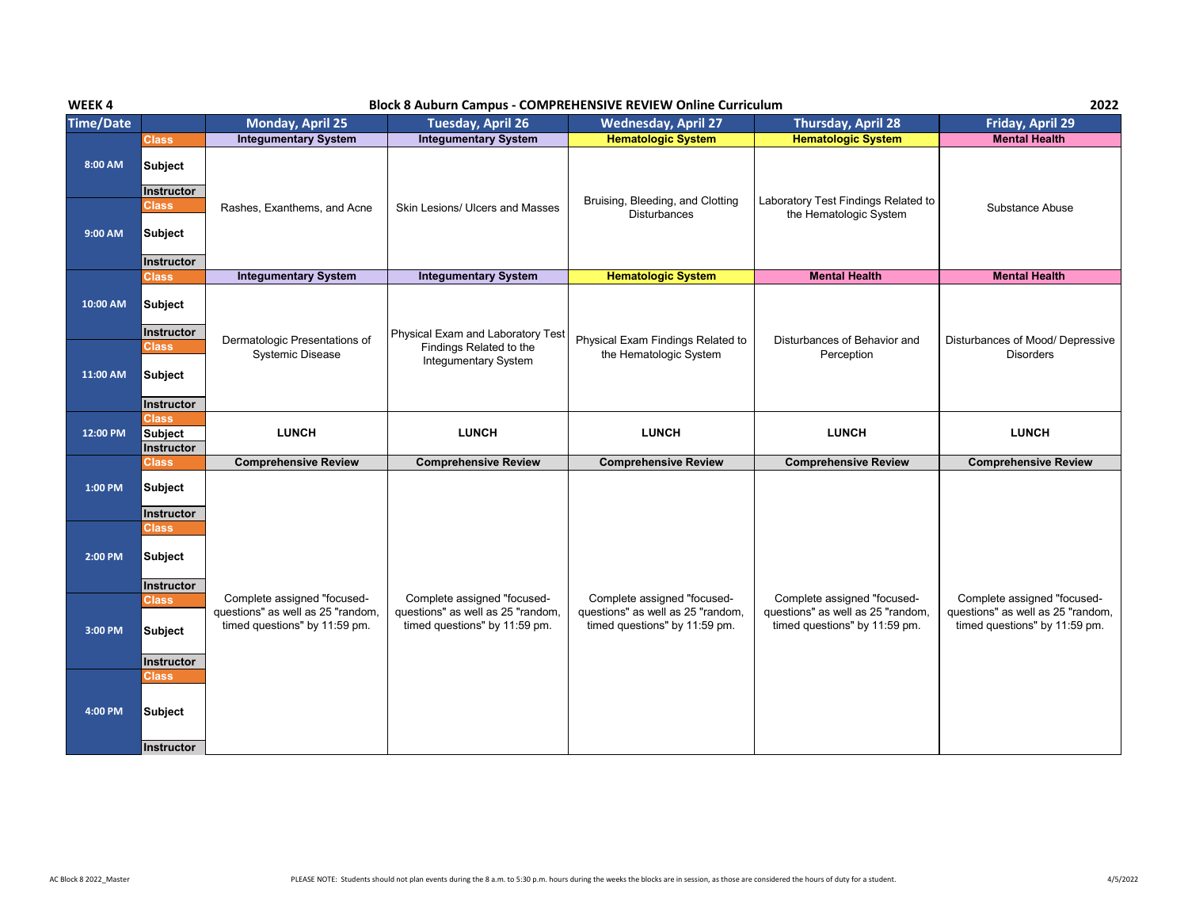## **WEEK 4 Block 8 Auburn Campus - COMPREHENSIVE REVIEW Online Curriculum**

**2022**

| <b>Time/Date</b> |                                     | Monday, April 25                                                                                  | <b>Tuesday, April 26</b>                                                                          | <b>Wednesday, April 27</b>                                                                        | <b>Thursday, April 28</b>                                                                         | Friday, April 29                                                                                  |
|------------------|-------------------------------------|---------------------------------------------------------------------------------------------------|---------------------------------------------------------------------------------------------------|---------------------------------------------------------------------------------------------------|---------------------------------------------------------------------------------------------------|---------------------------------------------------------------------------------------------------|
|                  | <b>Class</b>                        | <b>Integumentary System</b>                                                                       | <b>Integumentary System</b>                                                                       | <b>Hematologic System</b>                                                                         | <b>Hematologic System</b>                                                                         | <b>Mental Health</b>                                                                              |
| 8:00 AM          | <b>Subject</b><br>Instructor        |                                                                                                   |                                                                                                   |                                                                                                   |                                                                                                   |                                                                                                   |
| 9:00 AM          | <b>Class</b><br><b>Subject</b>      | Rashes, Exanthems, and Acne                                                                       | Skin Lesions/ Ulcers and Masses                                                                   | Bruising, Bleeding, and Clotting<br><b>Disturbances</b>                                           | Laboratory Test Findings Related to<br>the Hematologic System                                     | Substance Abuse                                                                                   |
|                  | <b>Instructor</b>                   |                                                                                                   |                                                                                                   |                                                                                                   |                                                                                                   |                                                                                                   |
|                  | <b>Class</b>                        | <b>Integumentary System</b>                                                                       | <b>Integumentary System</b>                                                                       | <b>Hematologic System</b>                                                                         | <b>Mental Health</b>                                                                              | <b>Mental Health</b>                                                                              |
| 10:00 AM         | Subject<br><b>Instructor</b>        |                                                                                                   | Physical Exam and Laboratory Test                                                                 |                                                                                                   |                                                                                                   |                                                                                                   |
|                  | <b>Class</b>                        | Dermatologic Presentations of<br><b>Systemic Disease</b>                                          | Findings Related to the                                                                           | Physical Exam Findings Related to<br>the Hematologic System                                       | Disturbances of Behavior and<br>Perception                                                        | Disturbances of Mood/ Depressive<br><b>Disorders</b>                                              |
| 11:00 AM         | Subject<br><b>Instructor</b>        |                                                                                                   | <b>Integumentary System</b>                                                                       |                                                                                                   |                                                                                                   |                                                                                                   |
|                  | <b>Class</b>                        |                                                                                                   |                                                                                                   |                                                                                                   |                                                                                                   |                                                                                                   |
| 12:00 PM         | <b>Subject</b>                      | <b>LUNCH</b>                                                                                      | <b>LUNCH</b>                                                                                      | <b>LUNCH</b>                                                                                      | <b>LUNCH</b>                                                                                      | <b>LUNCH</b>                                                                                      |
|                  | Instructor                          |                                                                                                   |                                                                                                   |                                                                                                   |                                                                                                   |                                                                                                   |
|                  | Class                               | <b>Comprehensive Review</b>                                                                       | <b>Comprehensive Review</b>                                                                       | <b>Comprehensive Review</b>                                                                       | <b>Comprehensive Review</b>                                                                       | <b>Comprehensive Review</b>                                                                       |
| 1:00 PM          | <b>Subject</b><br><b>Instructor</b> |                                                                                                   |                                                                                                   |                                                                                                   |                                                                                                   |                                                                                                   |
|                  | <b>Class</b>                        |                                                                                                   |                                                                                                   |                                                                                                   |                                                                                                   |                                                                                                   |
| 2:00 PM          | Subject                             |                                                                                                   |                                                                                                   |                                                                                                   |                                                                                                   |                                                                                                   |
|                  | Instructor                          |                                                                                                   |                                                                                                   |                                                                                                   |                                                                                                   |                                                                                                   |
| 3:00 PM          | <b>Class</b><br>Subject             | Complete assigned "focused-<br>questions" as well as 25 "random,<br>timed questions" by 11:59 pm. | Complete assigned "focused-<br>questions" as well as 25 "random,<br>timed questions" by 11:59 pm. | Complete assigned "focused-<br>questions" as well as 25 "random,<br>timed questions" by 11:59 pm. | Complete assigned "focused-<br>questions" as well as 25 "random,<br>timed questions" by 11:59 pm. | Complete assigned "focused-<br>questions" as well as 25 "random,<br>timed questions" by 11:59 pm. |
|                  |                                     |                                                                                                   |                                                                                                   |                                                                                                   |                                                                                                   |                                                                                                   |
|                  | Instructor<br><b>Class</b>          |                                                                                                   |                                                                                                   |                                                                                                   |                                                                                                   |                                                                                                   |
| 4:00 PM          | Subject                             |                                                                                                   |                                                                                                   |                                                                                                   |                                                                                                   |                                                                                                   |
|                  | <b>Instructor</b>                   |                                                                                                   |                                                                                                   |                                                                                                   |                                                                                                   |                                                                                                   |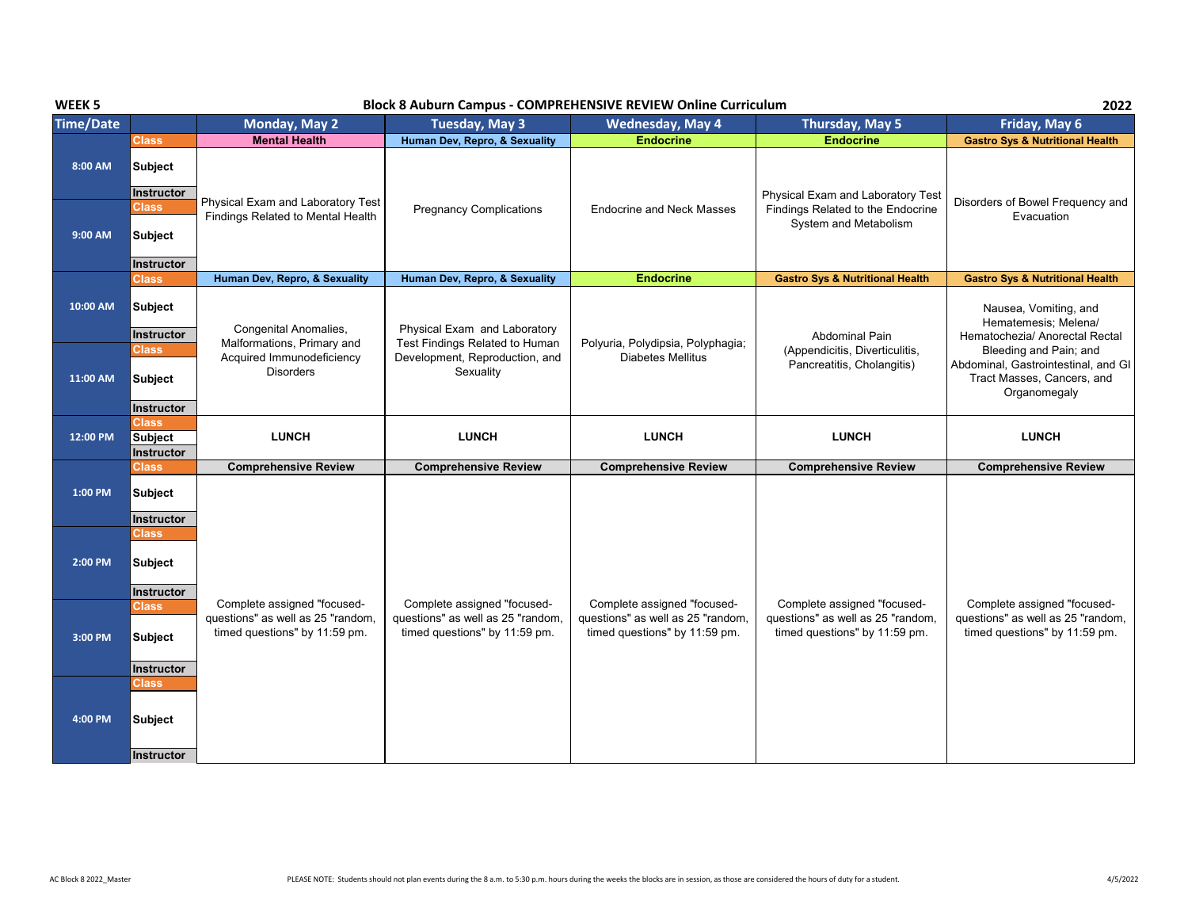| WEEK <sub>5</sub> | 2022<br><b>Block 8 Auburn Campus - COMPREHENSIVE REVIEW Online Curriculum</b> |                                                                                                   |                                                                                                   |                                                                                                   |                                                                                                   |                                                                                                             |
|-------------------|-------------------------------------------------------------------------------|---------------------------------------------------------------------------------------------------|---------------------------------------------------------------------------------------------------|---------------------------------------------------------------------------------------------------|---------------------------------------------------------------------------------------------------|-------------------------------------------------------------------------------------------------------------|
| <b>Time/Date</b>  |                                                                               | <b>Monday, May 2</b>                                                                              | Tuesday, May 3                                                                                    | <b>Wednesday, May 4</b>                                                                           | Thursday, May 5                                                                                   | Friday, May 6                                                                                               |
|                   | <b>Class</b>                                                                  | <b>Mental Health</b>                                                                              | Human Dev, Repro, & Sexuality                                                                     | <b>Endocrine</b>                                                                                  | <b>Endocrine</b>                                                                                  | <b>Gastro Sys &amp; Nutritional Health</b>                                                                  |
| 8:00 AM           | <b>Subject</b><br>Instructor                                                  |                                                                                                   |                                                                                                   |                                                                                                   | Physical Exam and Laboratory Test                                                                 |                                                                                                             |
| 9:00 AM           | Class<br><b>Subject</b>                                                       | Physical Exam and Laboratory Test<br>Findings Related to Mental Health                            | <b>Pregnancy Complications</b>                                                                    | <b>Endocrine and Neck Masses</b>                                                                  | Findings Related to the Endocrine<br>System and Metabolism                                        | Disorders of Bowel Frequency and<br>Evacuation                                                              |
|                   | Instructor                                                                    |                                                                                                   |                                                                                                   |                                                                                                   |                                                                                                   |                                                                                                             |
|                   | <b>Class</b>                                                                  | Human Dev, Repro, & Sexuality                                                                     | Human Dev, Repro, & Sexuality                                                                     | <b>Endocrine</b>                                                                                  | <b>Gastro Sys &amp; Nutritional Health</b>                                                        | <b>Gastro Sys &amp; Nutritional Health</b>                                                                  |
| 10:00 AM          | <b>Subject</b><br>Instructor                                                  | Congenital Anomalies,<br>Malformations, Primary and                                               | Physical Exam and Laboratory<br>Test Findings Related to Human                                    | Polyuria, Polydipsia, Polyphagia;                                                                 | <b>Abdominal Pain</b>                                                                             | Nausea, Vomiting, and<br>Hematemesis; Melena/<br>Hematochezia/ Anorectal Rectal                             |
| 11:00 AM          | <b>Class</b><br><b>Subject</b><br>Instructor                                  | Acquired Immunodeficiency<br><b>Disorders</b>                                                     | Development, Reproduction, and<br>Sexuality                                                       | <b>Diabetes Mellitus</b>                                                                          | (Appendicitis, Diverticulitis,<br>Pancreatitis, Cholangitis)                                      | Bleeding and Pain; and<br>Abdominal, Gastrointestinal, and GI<br>Tract Masses, Cancers, and<br>Organomegaly |
| 12:00 PM          | <b>Class</b><br><b>Subject</b><br>Instructor                                  | <b>LUNCH</b>                                                                                      | <b>LUNCH</b>                                                                                      | <b>LUNCH</b>                                                                                      | <b>LUNCH</b>                                                                                      | <b>LUNCH</b>                                                                                                |
|                   | <b>Class</b>                                                                  | <b>Comprehensive Review</b>                                                                       | <b>Comprehensive Review</b>                                                                       | <b>Comprehensive Review</b>                                                                       | <b>Comprehensive Review</b>                                                                       | <b>Comprehensive Review</b>                                                                                 |
| 1:00 PM           | Subject<br>Instructor                                                         |                                                                                                   |                                                                                                   |                                                                                                   |                                                                                                   |                                                                                                             |
| 2:00 PM           | Class<br><b>Subject</b><br>Instructor                                         |                                                                                                   |                                                                                                   |                                                                                                   |                                                                                                   |                                                                                                             |
| 3:00 PM           | Class<br><b>Subject</b><br>Instructor                                         | Complete assigned "focused-<br>questions" as well as 25 "random,<br>timed questions" by 11:59 pm. | Complete assigned "focused-<br>questions" as well as 25 "random,<br>timed questions" by 11:59 pm. | Complete assigned "focused-<br>questions" as well as 25 "random,<br>timed questions" by 11:59 pm. | Complete assigned "focused-<br>questions" as well as 25 "random,<br>timed questions" by 11:59 pm. | Complete assigned "focused-<br>questions" as well as 25 "random,<br>timed questions" by 11:59 pm.           |
| 4:00 PM           | Class<br><b>Subject</b>                                                       |                                                                                                   |                                                                                                   |                                                                                                   |                                                                                                   |                                                                                                             |
|                   | <b>Instructor</b>                                                             |                                                                                                   |                                                                                                   |                                                                                                   |                                                                                                   |                                                                                                             |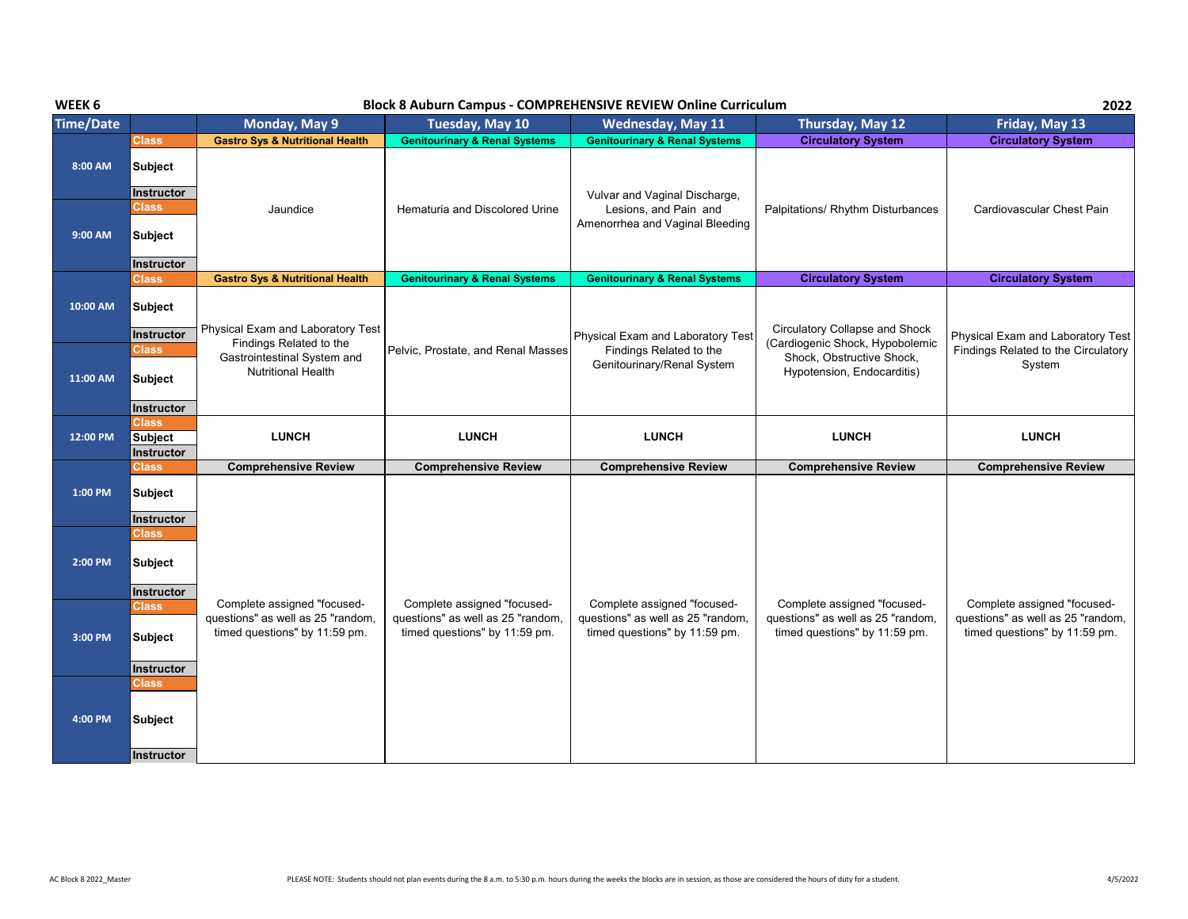## **WEEK 6 Block 8 Auburn Campus - COMPREHENSIVE REVIEW Online Curriculum**

**2022**

| <b>Time/Date</b> |                                              | Monday, May 9                                                                                              | PROCK O MADALII CALIIPAS<br>Tuesday, May 10                                                       | <b>Wednesday, May 11</b>                                                                          | Thursday, May 12                                                                                      | Friday, May 13                                                                                    |
|------------------|----------------------------------------------|------------------------------------------------------------------------------------------------------------|---------------------------------------------------------------------------------------------------|---------------------------------------------------------------------------------------------------|-------------------------------------------------------------------------------------------------------|---------------------------------------------------------------------------------------------------|
|                  | <b>Class</b>                                 | <b>Gastro Sys &amp; Nutritional Health</b>                                                                 | <b>Genitourinary &amp; Renal Systems</b>                                                          | <b>Genitourinary &amp; Renal Systems</b>                                                          | <b>Circulatory System</b>                                                                             | <b>Circulatory System</b>                                                                         |
| 8:00 AM          | Subject<br>Instructor                        |                                                                                                            |                                                                                                   | Vulvar and Vaginal Discharge,                                                                     |                                                                                                       |                                                                                                   |
| 9:00 AM          | <b>Class</b><br><b>Subject</b>               | Jaundice                                                                                                   | Hematuria and Discolored Urine                                                                    | Lesions, and Pain and<br>Amenorrhea and Vaginal Bleeding                                          | Palpitations/ Rhythm Disturbances                                                                     | Cardiovascular Chest Pain                                                                         |
|                  | Instructor                                   |                                                                                                            |                                                                                                   |                                                                                                   |                                                                                                       |                                                                                                   |
| 10:00 AM         | <b>Class</b><br>Subject<br>Instructor        | <b>Gastro Sys &amp; Nutritional Health</b><br>Physical Exam and Laboratory Test<br>Findings Related to the | <b>Genitourinary &amp; Renal Systems</b>                                                          | <b>Genitourinary &amp; Renal Systems</b><br>Physical Exam and Laboratory Test                     | <b>Circulatory System</b><br><b>Circulatory Collapse and Shock</b><br>(Cardiogenic Shock, Hypobolemic | <b>Circulatory System</b><br>Physical Exam and Laboratory Test                                    |
| 11:00 AM         | <b>Class</b><br>Subject<br>Instructor        | Gastrointestinal System and<br><b>Nutritional Health</b>                                                   | Pelvic, Prostate, and Renal Masses                                                                | Findings Related to the<br>Genitourinary/Renal System                                             | Shock, Obstructive Shock,<br>Hypotension, Endocarditis)                                               | Findings Related to the Circulatory<br>System                                                     |
| 12:00 PM         | <b>Class</b><br><b>Subject</b><br>Instructor | <b>LUNCH</b>                                                                                               | <b>LUNCH</b>                                                                                      | <b>LUNCH</b>                                                                                      | <b>LUNCH</b>                                                                                          | <b>LUNCH</b>                                                                                      |
|                  | <b>Class</b>                                 | <b>Comprehensive Review</b>                                                                                | <b>Comprehensive Review</b>                                                                       | <b>Comprehensive Review</b>                                                                       | <b>Comprehensive Review</b>                                                                           | <b>Comprehensive Review</b>                                                                       |
| 1:00 PM          | Subject<br>Instructor                        |                                                                                                            |                                                                                                   |                                                                                                   |                                                                                                       |                                                                                                   |
| 2:00 PM          | <b>Class</b><br>Subject<br>Instructor        |                                                                                                            |                                                                                                   |                                                                                                   |                                                                                                       |                                                                                                   |
| 3:00 PM          | Class<br>Subject<br>Instructor               | Complete assigned "focused-<br>questions" as well as 25 "random,<br>timed questions" by 11:59 pm.          | Complete assigned "focused-<br>questions" as well as 25 "random,<br>timed questions" by 11:59 pm. | Complete assigned "focused-<br>questions" as well as 25 "random,<br>timed questions" by 11:59 pm. | Complete assigned "focused-<br>questions" as well as 25 "random,<br>timed questions" by 11:59 pm.     | Complete assigned "focused-<br>questions" as well as 25 "random,<br>timed questions" by 11:59 pm. |
| 4:00 PM          | <b>Class</b><br>Subject<br>Instructor        |                                                                                                            |                                                                                                   |                                                                                                   |                                                                                                       |                                                                                                   |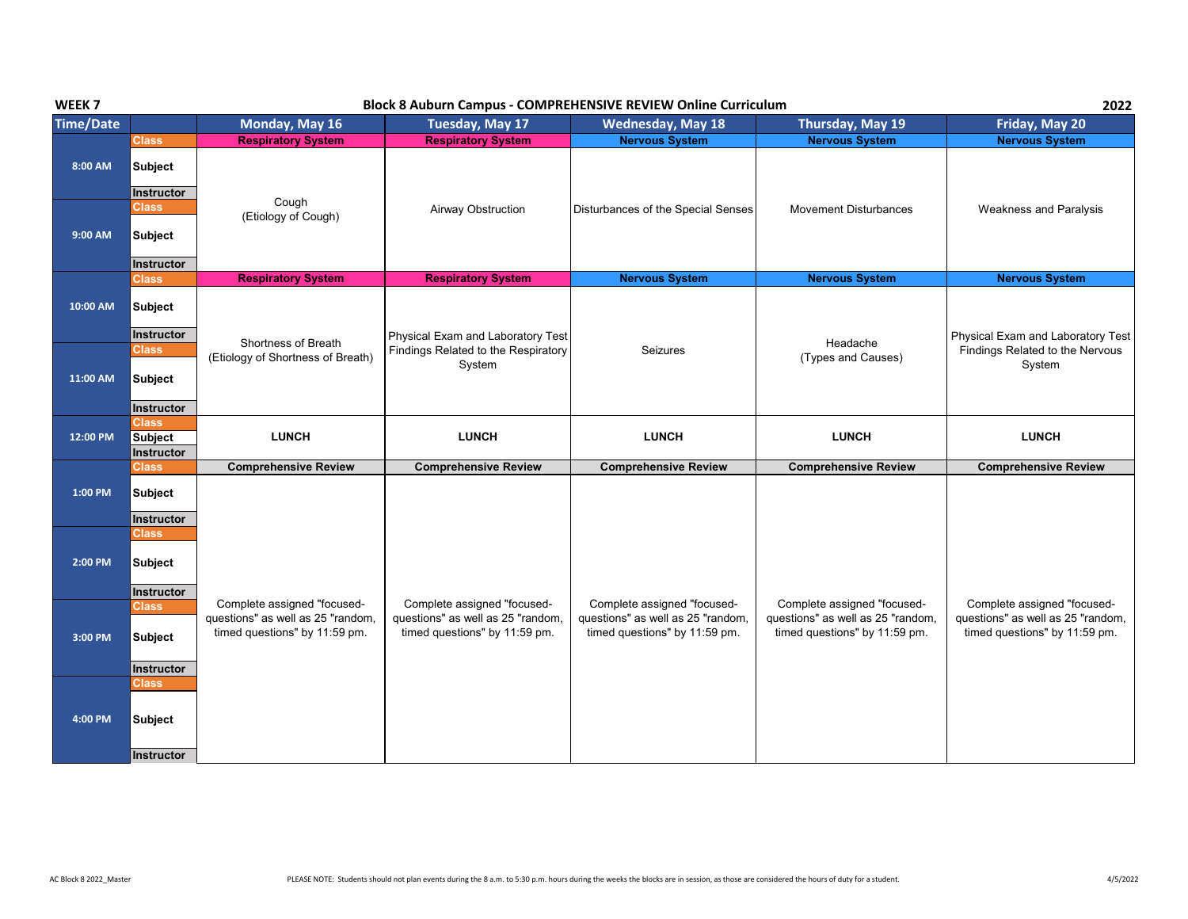| WEEK <sub>7</sub> | <b>Block 8 Auburn Campus - COMPREHENSIVE REVIEW Online Curriculum</b> |                                                                                                   |                                                                                                   |                                                                                                   |                                                                                                   |                                                                                                   |
|-------------------|-----------------------------------------------------------------------|---------------------------------------------------------------------------------------------------|---------------------------------------------------------------------------------------------------|---------------------------------------------------------------------------------------------------|---------------------------------------------------------------------------------------------------|---------------------------------------------------------------------------------------------------|
| <b>Time/Date</b>  |                                                                       | Monday, May 16                                                                                    | Tuesday, May 17                                                                                   | <b>Wednesday, May 18</b>                                                                          | Thursday, May 19                                                                                  | Friday, May 20                                                                                    |
|                   | <b>Class</b>                                                          | <b>Respiratory System</b>                                                                         | <b>Respiratory System</b>                                                                         | <b>Nervous System</b>                                                                             | <b>Nervous System</b>                                                                             | <b>Nervous System</b>                                                                             |
| 8:00 AM           | <b>Subject</b>                                                        |                                                                                                   |                                                                                                   |                                                                                                   |                                                                                                   |                                                                                                   |
|                   | <b>Instructor</b><br>Class                                            | Cough<br>(Etiology of Cough)                                                                      | Airway Obstruction                                                                                | Disturbances of the Special Senses                                                                | <b>Movement Disturbances</b>                                                                      | <b>Weakness and Paralysis</b>                                                                     |
| 9:00 AM           | <b>Subject</b><br><b>Instructor</b>                                   |                                                                                                   |                                                                                                   |                                                                                                   |                                                                                                   |                                                                                                   |
|                   | Class                                                                 | <b>Respiratory System</b>                                                                         | <b>Respiratory System</b>                                                                         | <b>Nervous System</b>                                                                             | <b>Nervous System</b>                                                                             | <b>Nervous System</b>                                                                             |
| 10:00 AM          | <b>Subject</b><br>Instructor                                          |                                                                                                   |                                                                                                   |                                                                                                   |                                                                                                   |                                                                                                   |
| 11:00 AM          | <b>Class</b><br><b>Subject</b>                                        | Shortness of Breath<br>(Etiology of Shortness of Breath)                                          | Physical Exam and Laboratory Test<br>Findings Related to the Respiratory<br>System                | Seizures                                                                                          | Headache<br>(Types and Causes)                                                                    | Physical Exam and Laboratory Test<br>Findings Related to the Nervous<br>System                    |
|                   | Instructor                                                            |                                                                                                   |                                                                                                   |                                                                                                   |                                                                                                   |                                                                                                   |
| 12:00 PM          | <b>Class</b><br><b>Subject</b><br>Instructor                          | <b>LUNCH</b>                                                                                      | <b>LUNCH</b>                                                                                      | <b>LUNCH</b>                                                                                      | <b>LUNCH</b>                                                                                      | <b>LUNCH</b>                                                                                      |
|                   | <b>Class</b>                                                          | <b>Comprehensive Review</b>                                                                       | <b>Comprehensive Review</b>                                                                       | <b>Comprehensive Review</b>                                                                       | <b>Comprehensive Review</b>                                                                       | <b>Comprehensive Review</b>                                                                       |
| 1:00 PM           | Subject<br>Instructor                                                 |                                                                                                   |                                                                                                   |                                                                                                   |                                                                                                   |                                                                                                   |
| 2:00 PM           | Class<br><b>Subject</b>                                               |                                                                                                   |                                                                                                   |                                                                                                   |                                                                                                   |                                                                                                   |
| 3:00 PM           | Instructor<br><b>Class</b><br><b>Subject</b>                          | Complete assigned "focused-<br>questions" as well as 25 "random,<br>timed questions" by 11:59 pm. | Complete assigned "focused-<br>questions" as well as 25 "random,<br>timed questions" by 11:59 pm. | Complete assigned "focused-<br>questions" as well as 25 "random,<br>timed questions" by 11:59 pm. | Complete assigned "focused-<br>questions" as well as 25 "random,<br>timed questions" by 11:59 pm. | Complete assigned "focused-<br>questions" as well as 25 "random,<br>timed questions" by 11:59 pm. |
|                   | Instructor<br>Class                                                   |                                                                                                   |                                                                                                   |                                                                                                   |                                                                                                   |                                                                                                   |
| 4:00 PM           | <b>Subject</b>                                                        |                                                                                                   |                                                                                                   |                                                                                                   |                                                                                                   |                                                                                                   |
|                   | Instructor                                                            |                                                                                                   |                                                                                                   |                                                                                                   |                                                                                                   |                                                                                                   |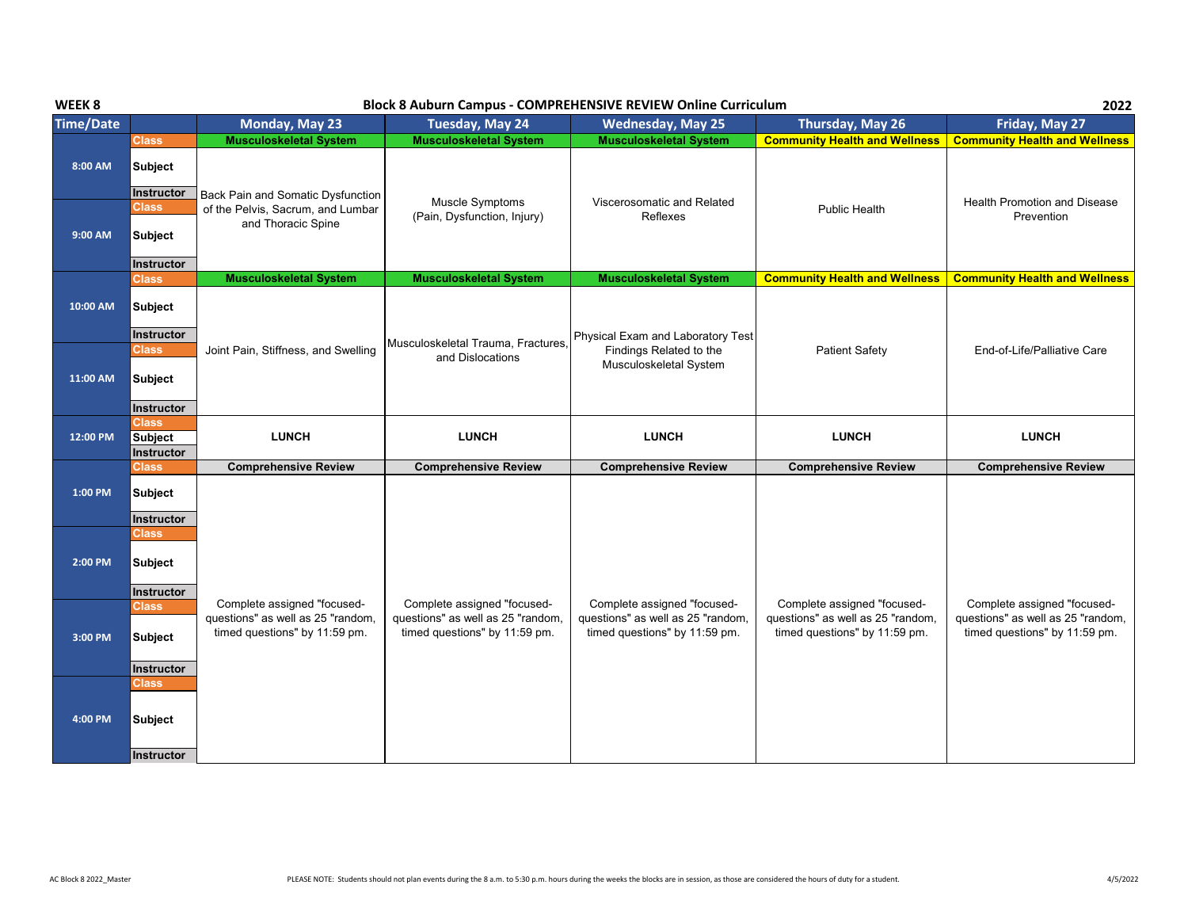| WEEK <sub>8</sub> | 2022<br><b>Block 8 Auburn Campus - COMPREHENSIVE REVIEW Online Curriculum</b> |                                                                    |                                                                    |                                                                    |                                                                    |                                                                    |  |
|-------------------|-------------------------------------------------------------------------------|--------------------------------------------------------------------|--------------------------------------------------------------------|--------------------------------------------------------------------|--------------------------------------------------------------------|--------------------------------------------------------------------|--|
| <b>Time/Date</b>  |                                                                               | Monday, May 23                                                     | Tuesday, May 24                                                    | <b>Wednesday, May 25</b>                                           | Thursday, May 26                                                   | Friday, May 27                                                     |  |
|                   | <b>Class</b>                                                                  | <b>Musculoskeletal System</b>                                      | <b>Musculoskeletal System</b>                                      | <b>Musculoskeletal System</b>                                      | <b>Community Health and Wellness</b>                               | <b>Community Health and Wellness</b>                               |  |
| 8:00 AM           | <b>Subject</b><br>Instructor                                                  |                                                                    |                                                                    |                                                                    |                                                                    |                                                                    |  |
|                   | <b>Class</b>                                                                  | <b>Back Pain and Somatic Dysfunction</b>                           | Muscle Symptoms                                                    | Viscerosomatic and Related                                         |                                                                    | <b>Health Promotion and Disease</b>                                |  |
|                   |                                                                               | of the Pelvis, Sacrum, and Lumbar<br>and Thoracic Spine            | (Pain, Dysfunction, Injury)                                        | Reflexes                                                           | <b>Public Health</b>                                               | Prevention                                                         |  |
| 9:00 AM           | Subject                                                                       |                                                                    |                                                                    |                                                                    |                                                                    |                                                                    |  |
|                   | Instructor                                                                    |                                                                    |                                                                    |                                                                    |                                                                    |                                                                    |  |
|                   | <b>Class</b>                                                                  | <b>Musculoskeletal System</b>                                      | <b>Musculoskeletal System</b>                                      | <b>Musculoskeletal System</b>                                      | <b>Community Health and Wellness</b>                               | <b>Community Health and Wellness</b>                               |  |
| 10:00 AM          | Subject                                                                       |                                                                    |                                                                    |                                                                    |                                                                    |                                                                    |  |
|                   | Instructor                                                                    |                                                                    | Musculoskeletal Trauma, Fractures,                                 | Physical Exam and Laboratory Test                                  |                                                                    | End-of-Life/Palliative Care                                        |  |
| 11:00 AM          | <b>Class</b><br>Subject<br>Instructor                                         | Joint Pain, Stiffness, and Swelling                                | and Dislocations                                                   | Findings Related to the<br>Musculoskeletal System                  | <b>Patient Safety</b>                                              |                                                                    |  |
|                   | <b>Class</b>                                                                  |                                                                    |                                                                    |                                                                    |                                                                    |                                                                    |  |
| 12:00 PM          | <b>Subject</b>                                                                | <b>LUNCH</b>                                                       | <b>LUNCH</b>                                                       | <b>LUNCH</b>                                                       | <b>LUNCH</b>                                                       | <b>LUNCH</b>                                                       |  |
|                   | Instructor                                                                    |                                                                    |                                                                    |                                                                    |                                                                    |                                                                    |  |
|                   | <b>Class</b>                                                                  | <b>Comprehensive Review</b>                                        | <b>Comprehensive Review</b>                                        | <b>Comprehensive Review</b>                                        | <b>Comprehensive Review</b>                                        | <b>Comprehensive Review</b>                                        |  |
| 1:00 PM           | <b>Subject</b>                                                                |                                                                    |                                                                    |                                                                    |                                                                    |                                                                    |  |
|                   |                                                                               |                                                                    |                                                                    |                                                                    |                                                                    |                                                                    |  |
|                   | Instructor<br>Class                                                           |                                                                    |                                                                    |                                                                    |                                                                    |                                                                    |  |
| 2:00 PM           | <b>Subject</b><br>Instructor                                                  |                                                                    |                                                                    |                                                                    |                                                                    |                                                                    |  |
|                   | <b>Class</b>                                                                  | Complete assigned "focused-                                        | Complete assigned "focused-                                        | Complete assigned "focused-                                        | Complete assigned "focused-                                        | Complete assigned "focused-                                        |  |
| 3:00 PM           | <b>Subject</b>                                                                | questions" as well as 25 "random,<br>timed questions" by 11:59 pm. | questions" as well as 25 "random,<br>timed questions" by 11:59 pm. | questions" as well as 25 "random,<br>timed questions" by 11:59 pm. | questions" as well as 25 "random,<br>timed questions" by 11:59 pm. | questions" as well as 25 "random,<br>timed questions" by 11:59 pm. |  |
|                   | <b>Instructor</b>                                                             |                                                                    |                                                                    |                                                                    |                                                                    |                                                                    |  |
| 4:00 PM           | <b>Class</b><br>Subject<br>Instructor                                         |                                                                    |                                                                    |                                                                    |                                                                    |                                                                    |  |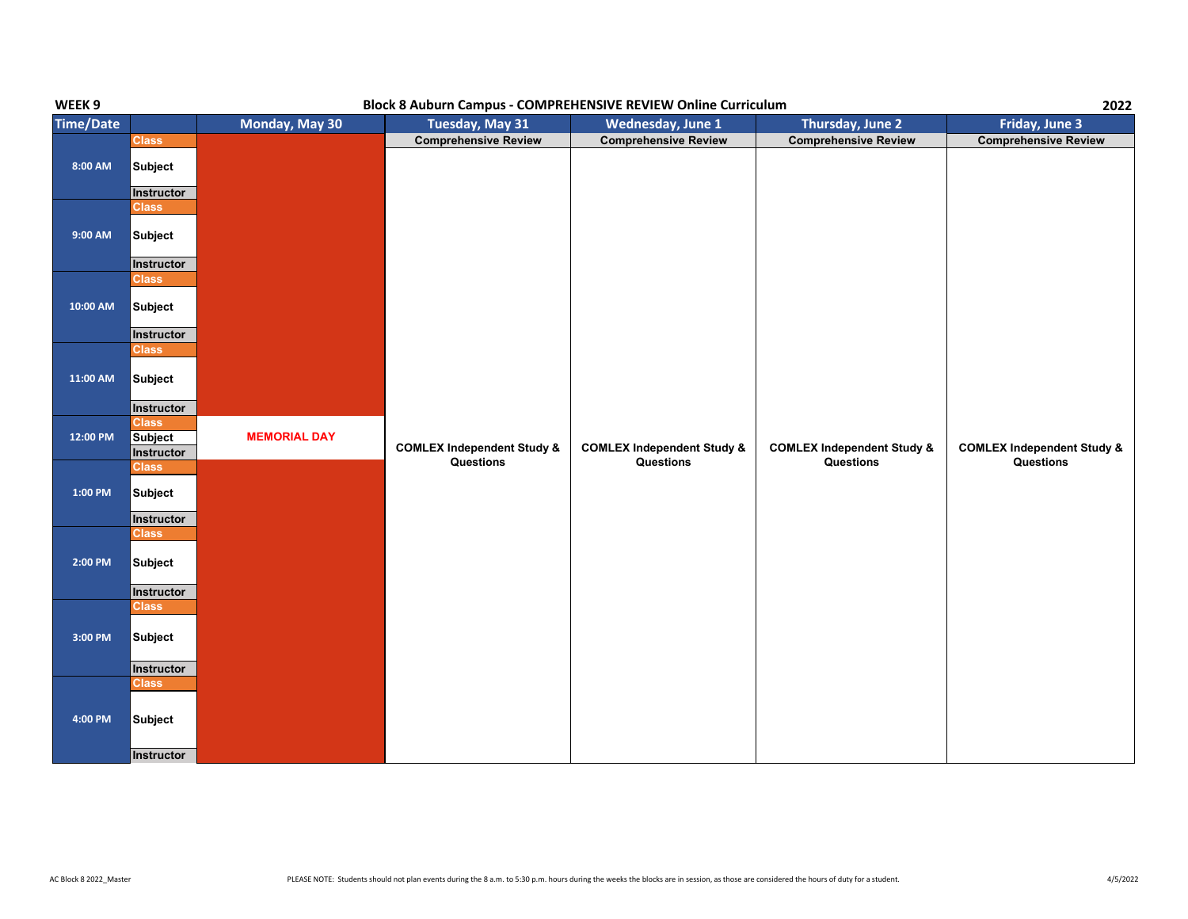| WEEK 9           | Block 8 Auburn Campus - COMPREHENSIVE REVIEW Online Curriculum |                     |                                       |                                       |                                       |                                       |
|------------------|----------------------------------------------------------------|---------------------|---------------------------------------|---------------------------------------|---------------------------------------|---------------------------------------|
| <b>Time/Date</b> |                                                                | Monday, May 30      | Tuesday, May 31                       | Wednesday, June 1                     | Thursday, June 2                      | Friday, June 3                        |
|                  | <b>Class</b>                                                   |                     | <b>Comprehensive Review</b>           | <b>Comprehensive Review</b>           | <b>Comprehensive Review</b>           | <b>Comprehensive Review</b>           |
| $8:00$ AM        | <b>Subject</b>                                                 |                     |                                       |                                       |                                       |                                       |
|                  | Instructor<br><b>Class</b>                                     |                     |                                       |                                       |                                       |                                       |
| 9:00 AM          | <b>Subject</b>                                                 |                     |                                       |                                       |                                       |                                       |
|                  | Instructor                                                     |                     |                                       |                                       |                                       |                                       |
|                  | Class                                                          |                     |                                       |                                       |                                       |                                       |
| 10:00 AM         | <b>Subject</b>                                                 |                     |                                       |                                       |                                       |                                       |
|                  | Instructor                                                     |                     |                                       |                                       |                                       |                                       |
|                  | Class                                                          |                     |                                       |                                       |                                       |                                       |
| 11:00 AM         | Subject                                                        |                     |                                       |                                       |                                       |                                       |
|                  | <b>Instructor</b>                                              |                     |                                       |                                       |                                       |                                       |
|                  | <b>Class</b>                                                   |                     |                                       |                                       |                                       |                                       |
| 12:00 PM         | <b>Subject</b>                                                 | <b>MEMORIAL DAY</b> | <b>COMLEX Independent Study &amp;</b> | <b>COMLEX Independent Study &amp;</b> | <b>COMLEX Independent Study &amp;</b> | <b>COMLEX Independent Study &amp;</b> |
|                  | Instructor                                                     |                     | Questions                             | Questions                             | Questions                             | Questions                             |
| $1:00$ PM        | Class<br><b>Subject</b>                                        |                     |                                       |                                       |                                       |                                       |
|                  | Instructor                                                     |                     |                                       |                                       |                                       |                                       |
|                  | <b>Class</b>                                                   |                     |                                       |                                       |                                       |                                       |
| 2:00 PM          | <b>Subject</b>                                                 |                     |                                       |                                       |                                       |                                       |
|                  | <b>Instructor</b>                                              |                     |                                       |                                       |                                       |                                       |
|                  | <b>Class</b>                                                   |                     |                                       |                                       |                                       |                                       |
| $3:00$ PM        | <b>Subject</b>                                                 |                     |                                       |                                       |                                       |                                       |
|                  | Instructor                                                     |                     |                                       |                                       |                                       |                                       |
|                  | <b>Class</b>                                                   |                     |                                       |                                       |                                       |                                       |
| 4:00 PM          | <b>Subject</b>                                                 |                     |                                       |                                       |                                       |                                       |
|                  | Instructor                                                     |                     |                                       |                                       |                                       |                                       |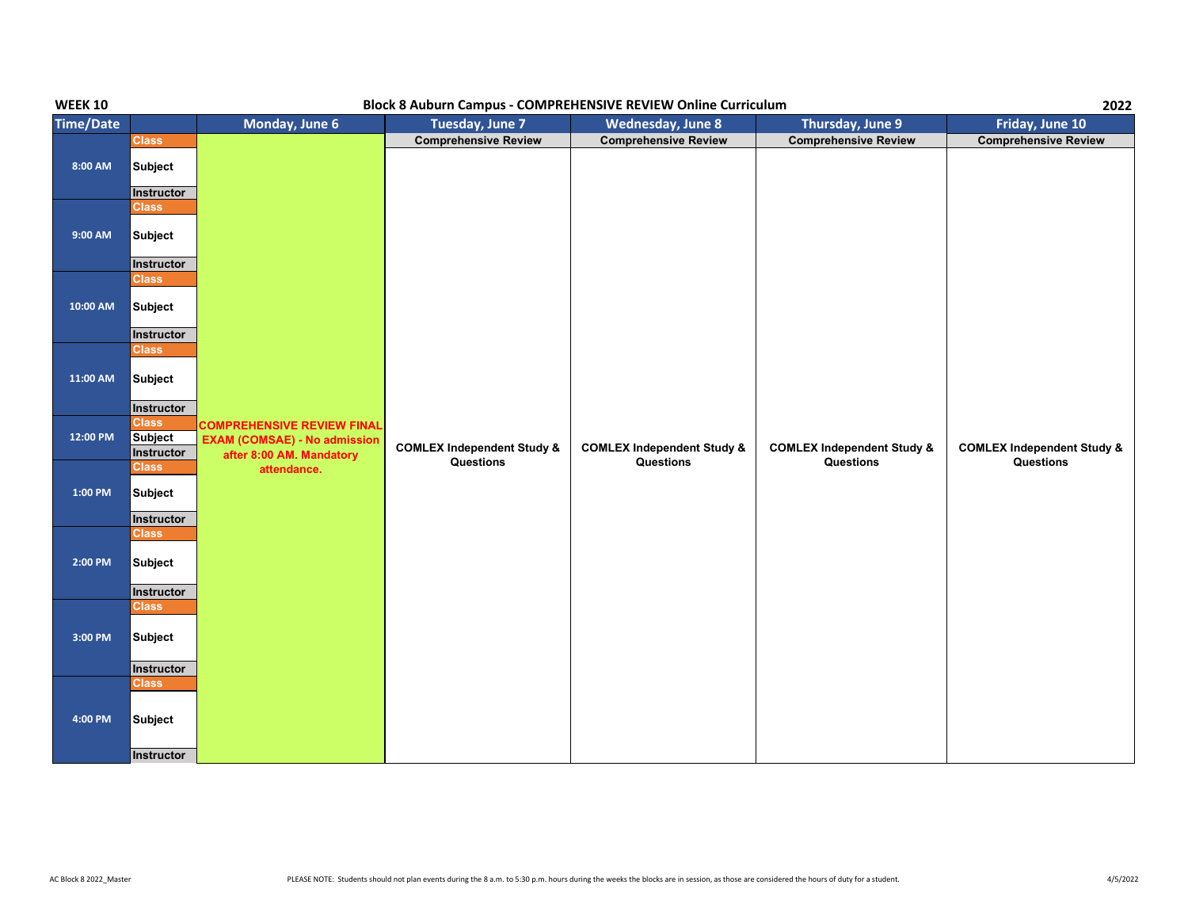| <b>WEEK 10</b>   | <b>Block 8 Auburn Campus - COMPREHENSIVE REVIEW Online Curriculum</b> |                                                                                                      |                                       |                                       |                                       |                                       |  |
|------------------|-----------------------------------------------------------------------|------------------------------------------------------------------------------------------------------|---------------------------------------|---------------------------------------|---------------------------------------|---------------------------------------|--|
| <b>Time/Date</b> |                                                                       | Monday, June 6                                                                                       | Tuesday, June 7                       | Wednesday, June 8                     | <b>Thursday, June 9</b>               | Friday, June 10                       |  |
|                  | <b>Class</b>                                                          |                                                                                                      | <b>Comprehensive Review</b>           | <b>Comprehensive Review</b>           | <b>Comprehensive Review</b>           | <b>Comprehensive Review</b>           |  |
| 8:00 AM          | Subject<br><b>Instructor</b>                                          |                                                                                                      |                                       |                                       |                                       |                                       |  |
|                  | <b>Class</b>                                                          |                                                                                                      |                                       |                                       |                                       |                                       |  |
| 9:00 AM          | Subject                                                               |                                                                                                      |                                       |                                       |                                       |                                       |  |
|                  | Instructor                                                            |                                                                                                      |                                       |                                       |                                       |                                       |  |
| 10:00 AM         | <b>Class</b><br>Subject                                               |                                                                                                      |                                       |                                       |                                       |                                       |  |
|                  | Instructor                                                            |                                                                                                      |                                       |                                       |                                       |                                       |  |
| 11:00 AM         | <b>Class</b><br>Subject                                               |                                                                                                      |                                       |                                       |                                       |                                       |  |
|                  | Instructor                                                            |                                                                                                      |                                       |                                       |                                       |                                       |  |
| 12:00 PM         | <b>Class</b><br><b>Subject</b><br>Instructor                          | <b>COMPREHENSIVE REVIEW FINAL</b><br><b>EXAM (COMSAE) - No admission</b><br>after 8:00 AM. Mandatory | <b>COMLEX Independent Study &amp;</b> | <b>COMLEX Independent Study &amp;</b> | <b>COMLEX Independent Study &amp;</b> | <b>COMLEX Independent Study &amp;</b> |  |
| $1:00$ PM        | <b>Class</b><br>Subject<br>Instructor                                 | attendance.                                                                                          | Questions                             | Questions                             | Questions                             | Questions                             |  |
| 2:00 PM          | Class<br>Subject                                                      |                                                                                                      |                                       |                                       |                                       |                                       |  |
|                  | Instructor<br><b>Class</b>                                            |                                                                                                      |                                       |                                       |                                       |                                       |  |
| 3:00 PM          | Subject                                                               |                                                                                                      |                                       |                                       |                                       |                                       |  |
|                  | Instructor                                                            |                                                                                                      |                                       |                                       |                                       |                                       |  |
| 4:00 PM          | <b>Class</b><br>Subject<br>Instructor                                 |                                                                                                      |                                       |                                       |                                       |                                       |  |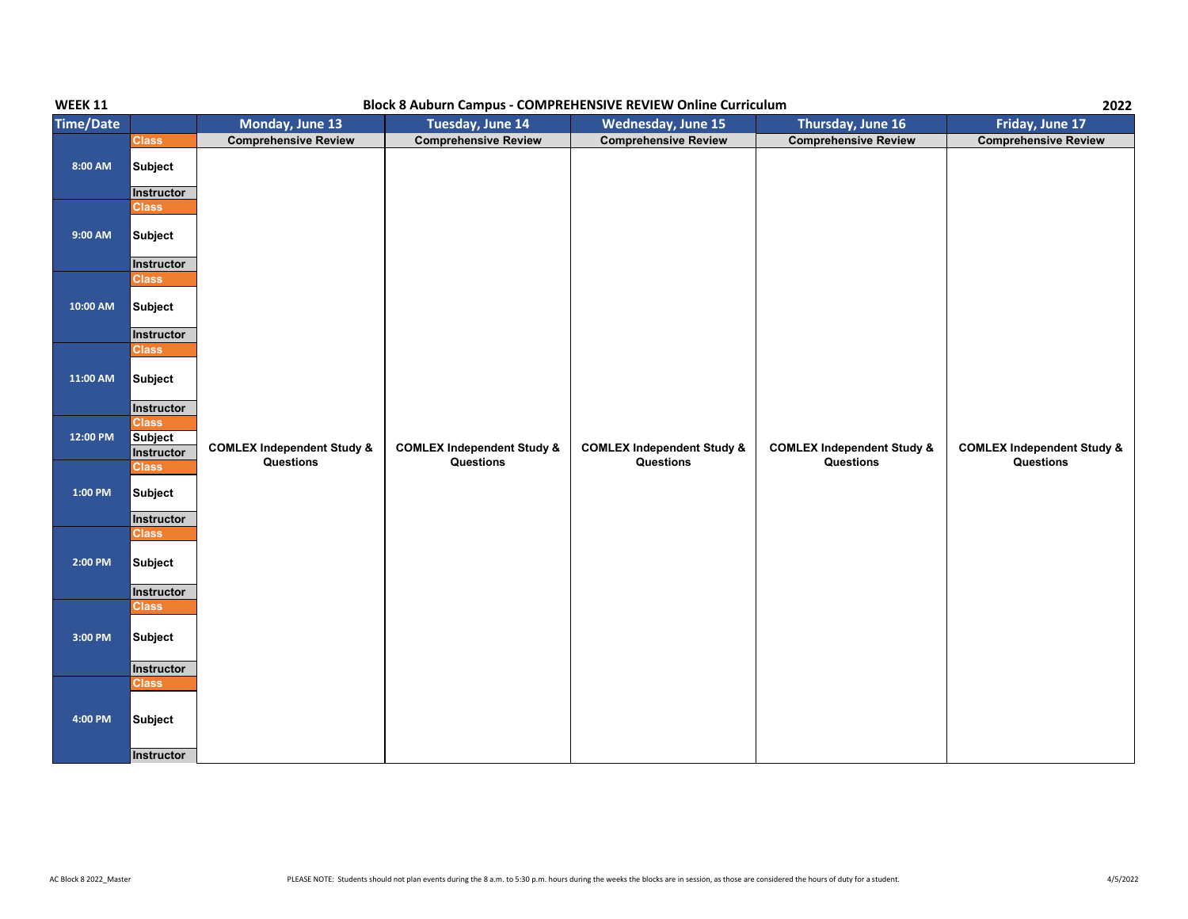| <b>WEEK 11</b>      | Block 8 Auburn Campus - COMPREHENSIVE REVIEW Online Curriculum |                                       |                                       |                                       |                                       |                                       |  |
|---------------------|----------------------------------------------------------------|---------------------------------------|---------------------------------------|---------------------------------------|---------------------------------------|---------------------------------------|--|
| <b>Time/Date</b>    |                                                                | Monday, June 13                       | Tuesday, June 14                      | <b>Wednesday, June 15</b>             | Thursday, June 16                     | Friday, June 17                       |  |
|                     | <b>Class</b>                                                   | <b>Comprehensive Review</b>           | <b>Comprehensive Review</b>           | <b>Comprehensive Review</b>           | <b>Comprehensive Review</b>           | <b>Comprehensive Review</b>           |  |
| 8:00 AM             | <b>Subject</b><br>Instructor                                   |                                       |                                       |                                       |                                       |                                       |  |
|                     | <b>Class</b>                                                   |                                       |                                       |                                       |                                       |                                       |  |
| 9:00 AM             | <b>Subject</b>                                                 |                                       |                                       |                                       |                                       |                                       |  |
|                     | Instructor                                                     |                                       |                                       |                                       |                                       |                                       |  |
| 10:00 AM            | <b>Class</b><br><b>Subject</b>                                 |                                       |                                       |                                       |                                       |                                       |  |
|                     | Instructor<br><b>Class</b>                                     |                                       |                                       |                                       |                                       |                                       |  |
| 11:00 AM            | <b>Subject</b>                                                 |                                       |                                       |                                       |                                       |                                       |  |
|                     | Instructor                                                     |                                       |                                       |                                       |                                       |                                       |  |
| 12:00 PM            | <b>Class</b><br>Subject<br>Instructor                          | <b>COMLEX Independent Study &amp;</b> | <b>COMLEX Independent Study &amp;</b> | <b>COMLEX Independent Study &amp;</b> | <b>COMLEX Independent Study &amp;</b> | <b>COMLEX Independent Study &amp;</b> |  |
| $1:00\ \mathrm{PM}$ | <b>Class</b><br><b>Subject</b>                                 | Questions                             | Questions                             | Questions                             | Questions                             | Questions                             |  |
|                     | Instructor                                                     |                                       |                                       |                                       |                                       |                                       |  |
| $2:00$ PM           | <b>Class</b><br><b>Subject</b><br>Instructor                   |                                       |                                       |                                       |                                       |                                       |  |
|                     | <b>Class</b>                                                   |                                       |                                       |                                       |                                       |                                       |  |
| 3:00 PM             | Subject                                                        |                                       |                                       |                                       |                                       |                                       |  |
|                     | Instructor                                                     |                                       |                                       |                                       |                                       |                                       |  |
| 4:00 PM             | <b>Class</b><br>Subject<br>Instructor                          |                                       |                                       |                                       |                                       |                                       |  |
|                     |                                                                |                                       |                                       |                                       |                                       |                                       |  |